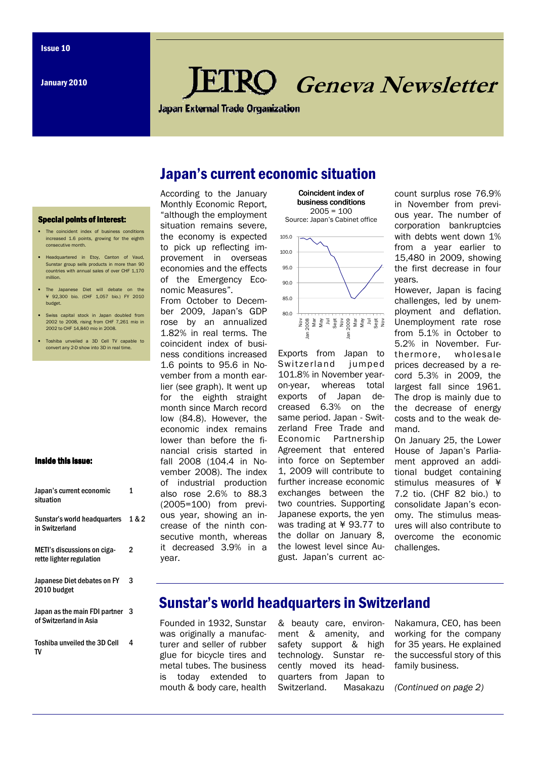# Geneva Newsletter

**Japan External Trade Organization** 

# Japan's current economic situation

#### **Special points of interest:**

- The coincident index of business conditions increased 1.6 points, growing for the eighth consecutive month.
- Headquartered in Etoy, Canton of Vaud, Sunstar group sells products in more than 90 countries with annual sales of over CHF 1,170 million.
- The Japanese Diet will debate on the ¥ 92,300 bio. (CHF 1,057 bio.) FY 2010 budget.
- Swiss capital stock in Japan doubled from 2002 to 2008, rising from CHF 7,261 mio in 2002 to CHF 14,840 mio in 2008.
- Toshiba unveiled a 3D Cell TV capable to convert any 2-D show into 3D in real time.

#### Inside this issue:

| Japan's current economic<br>situation                   | 1     |
|---------------------------------------------------------|-------|
| Sunstar's world headquarters<br>in Switzerland          | 1 & 2 |
| METI's discussions on ciga-<br>rette lighter regulation | 2     |
| Japanese Diet debates on FY<br>2010 budget              | 3     |
| Japan as the main FDI partner<br>of Switzerland in Asia | з     |
| <b>Toshiba unveiled the 3D Cell</b><br>TV               | 4     |

According to the January Monthly Economic Report, "although the employment situation remains severe. the economy is expected to pick up reflecting improvement in overseas economies and the effects of the Emergency Economic Measures".

From October to December 2009, Japan's GDP rose by an annualized 1.82% in real terms. The coincident index of business conditions increased 1.6 points to 95.6 in November from a month earlier (see graph). It went up for the eighth straight month since March record low (84.8). However, the economic index remains lower than before the financial crisis started in fall 2008 (104.4 in November 2008). The index of industrial production also rose 2.6% to 88.3 (2005=100) from previous year, showing an increase of the ninth consecutive month, whereas it decreased 3.9% in a year.



Exports from Japan to Switzerland jumped 101.8% in November yearon-year, whereas total exports of Japan decreased 6.3% on the same period. Japan - Switzerland Free Trade and Economic Partnership Agreement that entered into force on September 1, 2009 will contribute to further increase economic exchanges between the two countries. Supporting Japanese exports, the yen was trading at ¥ 93.77 to the dollar on January 8, the lowest level since August. Japan's current account surplus rose 76.9% in November from previous year. The number of corporation bankruptcies with debts went down 1% from a year earlier to 15,480 in 2009, showing the first decrease in four years.

However, Japan is facing challenges, led by unemployment and deflation. Unemployment rate rose from 5.1% in October to 5.2% in November. Furthermore, wholesale prices decreased by a record 5.3% in 2009, the largest fall since 1961. The drop is mainly due to the decrease of energy costs and to the weak demand.

On January 25, the Lower House of Japan's Parliament approved an additional budget containing stimulus measures of ¥ 7.2 tio. (CHF 82 bio.) to consolidate Japan's economy. The stimulus measures will also contribute to overcome the economic challenges.

# Sunstar's world headquarters in Switzerland

Founded in 1932, Sunstar was originally a manufacturer and seller of rubber glue for bicycle tires and metal tubes. The business is today extended to mouth & body care, health

& beauty care, environment & amenity, and safety support & high technology. Sunstar recently moved its headquarters from Japan to Switzerland. Masakazu

Nakamura, CEO, has been working for the company for 35 years. He explained the successful story of this family business.

(Continued on page 2)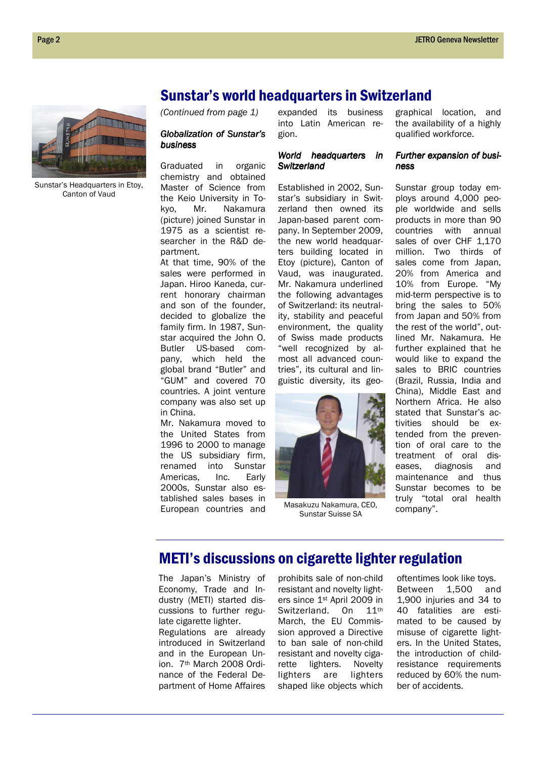## Sunstar's world headquarters in Switzerland

(Continued from page 1)

#### Globalization of Sunstar's business business

Graduated in organic chemistry and obtained Master of Science from the Keio University in Tokyo, Mr. Nakamura (picture) joined Sunstar in 1975 as a scientist researcher in the R&D department.

At that time, 90% of the sales were performed in Japan. Hiroo Kaneda, current honorary chairman and son of the founder, decided to globalize the family firm. In 1987, Sunstar acquired the John O. Butler US-based company, which held the global brand "Butler" and "GUM" and covered 70 countries. A joint venture company was also set up in China.

Mr. Nakamura moved to the United States from 1996 to 2000 to manage the US subsidiary firm, renamed into Sunstar Americas, Inc. Early 2000s, Sunstar also established sales bases in European countries and expanded its business into Latin American region.

#### World headquarters in **Switzerland**

Established in 2002, Sunstar's subsidiary in Switzerland then owned its Japan-based parent company. In September 2009, the new world headquarters building located in Etoy (picture), Canton of Vaud, was inaugurated. Mr. Nakamura underlined the following advantages of Switzerland: its neutrality, stability and peaceful environment, the quality of Swiss made products "well recognized by almost all advanced countries", its cultural and linguistic diversity, its geo-



Masakuzu Nakamura, CEO, Sunstar Suisse SA

graphical location, and the availability of a highly qualified workforce.

#### Further expansion of business

Sunstar group today employs around 4,000 people worldwide and sells products in more than 90 countries with annual sales of over CHF 1,170 million. Two thirds of sales come from Japan, 20% from America and 10% from Europe. "My mid-term perspective is to bring the sales to 50% from Japan and 50% from the rest of the world", outlined Mr. Nakamura. He further explained that he would like to expand the sales to BRIC countries (Brazil, Russia, India and China), Middle East and Northern Africa. He also stated that Sunstar's activities should be extended from the prevention of oral care to the treatment of oral diseases, diagnosis and maintenance and thus Sunstar becomes to be truly "total oral health company".

# METI's discussions on cigarette lighter regulation

The Japan's Ministry of Economy, Trade and Industry (METI) started discussions to further regulate cigarette lighter.

Regulations are already introduced in Switzerland and in the European Union. 7th March 2008 Ordinance of the Federal Department of Home Affaires

prohibits sale of non-child resistant and novelty lighters since 1st April 2009 in Switzerland. On 11th March, the EU Commission approved a Directive to ban sale of non-child resistant and novelty cigarette lighters. Novelty lighters are lighters shaped like objects which oftentimes look like toys. Between 1,500 and 1,900 injuries and 34 to 40 fatalities are estimated to be caused by misuse of cigarette lighters. In the United States, the introduction of childresistance requirements reduced by 60% the number of accidents.



Sunstar's Headquarters in Etoy, Canton of Vaud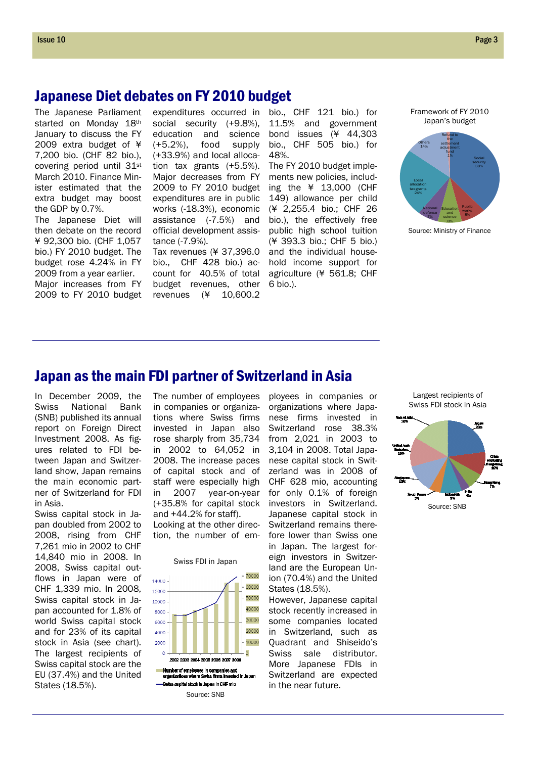## Japanese Diet debates on FY 2010 budget

The Japanese Parliament started on Monday 18th January to discuss the FY 2009 extra budget of ¥ 7,200 bio. (CHF 82 bio.), covering period until 31st March 2010. Finance Minister estimated that the extra budget may boost the GDP by 0.7%.

The Japanese Diet will then debate on the record ¥ 92,300 bio. (CHF 1,057 bio.) FY 2010 budget. The budget rose 4.24% in FY 2009 from a year earlier. Major increases from FY 2009 to FY 2010 budget social security (+9.8%), education and science (+5.2%), food supply (+33.9%) and local allocation tax grants (+5.5%). Major decreases from FY 2009 to FY 2010 budget expenditures are in public works (-18.3%), economic assistance (-7.5%) and official development assistance (-7.9%).

Tax revenues (¥ 37,396.0 bio., CHF 428 bio.) acbudget revenues, other revenues (¥ 10,600.2

expenditures occurred in bio., CHF 121 bio.) for 11.5% and government bond issues (¥ 44,303 bio., CHF 505 bio.) for 48%.

count for 40.5% of total agriculture (¥ 561.8; CHF The FY 2010 budget implements new policies, including the ¥ 13,000 (CHF 149) allowance per child (¥ 2,255.4 bio.; CHF 26 bio.), the effectively free public high school tuition (¥ 393.3 bio.; CHF 5 bio.) and the individual household income support for 6 bio.).

Framework of FY 2010 Japan's budget



Source: Ministry of Finance

### Japan as the main FDI partner of Switzerland in Asia

In December 2009, the Swiss National Bank (SNB) published its annual report on Foreign Direct Investment 2008. As figures related to FDI between Japan and Switzerland show, Japan remains the main economic partner of Switzerland for FDI in Asia.

Swiss capital stock in Japan doubled from 2002 to 2008, rising from CHF 7,261 mio in 2002 to CHF 14,840 mio in 2008. In 2008, Swiss capital outflows in Japan were of CHF 1,339 mio. In 2008, Swiss capital stock in Japan accounted for 1.8% of world Swiss capital stock and for 23% of its capital stock in Asia (see chart). The largest recipients of Swiss capital stock are the EU (37.4%) and the United States (18.5%).

The number of employees in companies or organizations where Swiss firms invested in Japan also rose sharply from 35,734 in 2002 to 64,052 in 2008. The increase paces of capital stock and of staff were especially high in 2007 year-on-year (+35.8% for capital stock and +44.2% for staff).

Looking at the other direction, the number of em-





Number of employees in companies and<br>organizations where Swiss firms invested ...........<br>s invested in Japan -Swiss capital stock in Japan in CHF mio Source: SNB

ployees in companies or organizations where Japanese firms invested in Switzerland rose 38.3% from 2,021 in 2003 to 3,104 in 2008. Total Japanese capital stock in Switzerland was in 2008 of CHF 628 mio, accounting for only 0.1% of foreign investors in Switzerland. Japanese capital stock in Switzerland remains therefore lower than Swiss one in Japan. The largest foreign investors in Switzerland are the European Union (70.4%) and the United States (18.5%).

However, Japanese capital stock recently increased in some companies located in Switzerland, such as Quadrant and Shiseido's Swiss sale distributor. More Japanese FDIs in Switzerland are expected in the near future.